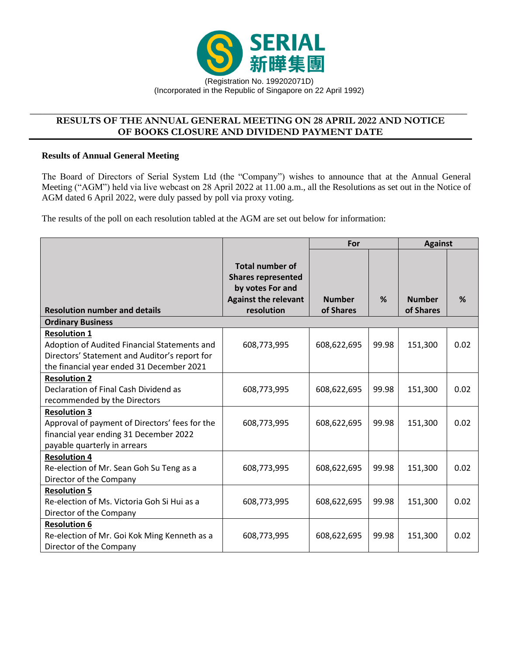

## **RESULTS OF THE ANNUAL GENERAL MEETING ON 28 APRIL 2022 AND NOTICE OF BOOKS CLOSURE AND DIVIDEND PAYMENT DATE**

\_\_\_\_\_\_\_\_\_\_\_\_\_\_\_\_\_\_\_\_\_\_\_\_\_\_\_\_\_\_\_\_\_\_\_\_\_\_\_\_\_\_\_\_\_\_\_\_\_\_\_\_\_\_\_\_\_\_\_\_\_\_\_\_\_\_\_\_\_\_\_\_\_\_\_\_\_\_\_\_\_\_\_\_\_\_\_\_

#### **Results of Annual General Meeting**

The Board of Directors of Serial System Ltd (the "Company") wishes to announce that at the Annual General Meeting ("AGM") held via live webcast on 28 April 2022 at 11.00 a.m., all the Resolutions as set out in the Notice of AGM dated 6 April 2022, were duly passed by poll via proxy voting.

The results of the poll on each resolution tabled at the AGM are set out below for information:

|                                                                                                                                                                   |                                                                                                                      | For                        |       | <b>Against</b>             |      |  |  |
|-------------------------------------------------------------------------------------------------------------------------------------------------------------------|----------------------------------------------------------------------------------------------------------------------|----------------------------|-------|----------------------------|------|--|--|
| <b>Resolution number and details</b>                                                                                                                              | <b>Total number of</b><br><b>Shares represented</b><br>by votes For and<br><b>Against the relevant</b><br>resolution | <b>Number</b><br>of Shares | %     | <b>Number</b><br>of Shares | %    |  |  |
| <b>Ordinary Business</b>                                                                                                                                          |                                                                                                                      |                            |       |                            |      |  |  |
| <b>Resolution 1</b><br>Adoption of Audited Financial Statements and<br>Directors' Statement and Auditor's report for<br>the financial year ended 31 December 2021 | 608,773,995                                                                                                          | 608,622,695                | 99.98 | 151,300                    | 0.02 |  |  |
| <b>Resolution 2</b><br>Declaration of Final Cash Dividend as<br>recommended by the Directors                                                                      | 608,773,995                                                                                                          | 608,622,695                | 99.98 | 151,300                    | 0.02 |  |  |
| <b>Resolution 3</b><br>Approval of payment of Directors' fees for the<br>financial year ending 31 December 2022<br>payable quarterly in arrears                   | 608,773,995                                                                                                          | 608,622,695                | 99.98 | 151,300                    | 0.02 |  |  |
| <b>Resolution 4</b><br>Re-election of Mr. Sean Goh Su Teng as a<br>Director of the Company                                                                        | 608,773,995                                                                                                          | 608,622,695                | 99.98 | 151,300                    | 0.02 |  |  |
| <b>Resolution 5</b><br>Re-election of Ms. Victoria Goh Si Hui as a<br>Director of the Company                                                                     | 608,773,995                                                                                                          | 608,622,695                | 99.98 | 151,300                    | 0.02 |  |  |
| <b>Resolution 6</b><br>Re-election of Mr. Goi Kok Ming Kenneth as a<br>Director of the Company                                                                    | 608,773,995                                                                                                          | 608,622,695                | 99.98 | 151,300                    | 0.02 |  |  |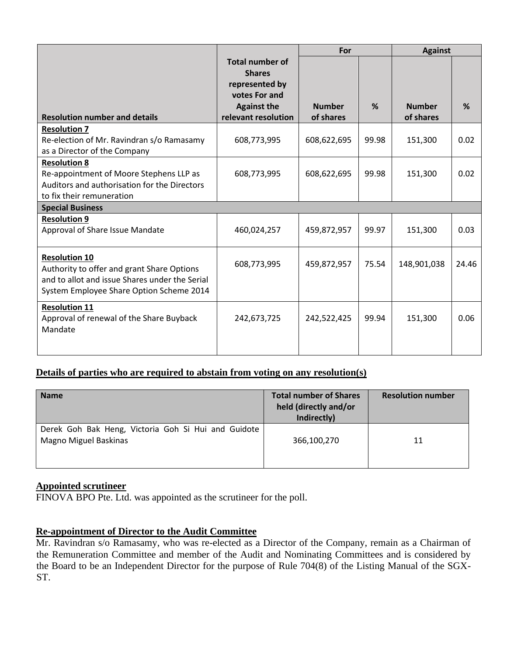|                                                                                                                                                                  |                                                                                                                         | For                        |       | <b>Against</b>             |       |  |  |
|------------------------------------------------------------------------------------------------------------------------------------------------------------------|-------------------------------------------------------------------------------------------------------------------------|----------------------------|-------|----------------------------|-------|--|--|
| <b>Resolution number and details</b>                                                                                                                             | <b>Total number of</b><br><b>Shares</b><br>represented by<br>votes For and<br><b>Against the</b><br>relevant resolution | <b>Number</b><br>of shares | %     | <b>Number</b><br>of shares | %     |  |  |
| <b>Resolution 7</b>                                                                                                                                              |                                                                                                                         |                            |       |                            |       |  |  |
| Re-election of Mr. Ravindran s/o Ramasamy<br>as a Director of the Company                                                                                        | 608,773,995                                                                                                             | 608,622,695                | 99.98 | 151,300                    | 0.02  |  |  |
| <b>Resolution 8</b><br>Re-appointment of Moore Stephens LLP as<br>Auditors and authorisation for the Directors<br>to fix their remuneration                      | 608,773,995                                                                                                             | 608,622,695                | 99.98 | 151,300                    | 0.02  |  |  |
| <b>Special Business</b>                                                                                                                                          |                                                                                                                         |                            |       |                            |       |  |  |
| <b>Resolution 9</b><br>Approval of Share Issue Mandate                                                                                                           | 460,024,257                                                                                                             | 459,872,957                | 99.97 | 151,300                    | 0.03  |  |  |
| <b>Resolution 10</b><br>Authority to offer and grant Share Options<br>and to allot and issue Shares under the Serial<br>System Employee Share Option Scheme 2014 | 608,773,995                                                                                                             | 459,872,957                | 75.54 | 148,901,038                | 24.46 |  |  |
| <b>Resolution 11</b><br>Approval of renewal of the Share Buyback<br>Mandate                                                                                      | 242,673,725                                                                                                             | 242,522,425                | 99.94 | 151,300                    | 0.06  |  |  |

# **Details of parties who are required to abstain from voting on any resolution(s)**

| <b>Name</b>                                                                  | <b>Total number of Shares</b><br>held (directly and/or<br>Indirectly) | <b>Resolution number</b> |
|------------------------------------------------------------------------------|-----------------------------------------------------------------------|--------------------------|
| Derek Goh Bak Heng, Victoria Goh Si Hui and Guidote<br>Magno Miguel Baskinas | 366,100,270                                                           | 11                       |

# **Appointed scrutineer**

FINOVA BPO Pte. Ltd. was appointed as the scrutineer for the poll.

## **Re-appointment of Director to the Audit Committee**

Mr. Ravindran s/o Ramasamy, who was re-elected as a Director of the Company, remain as a Chairman of the Remuneration Committee and member of the Audit and Nominating Committees and is considered by the Board to be an Independent Director for the purpose of Rule 704(8) of the Listing Manual of the SGX-ST.